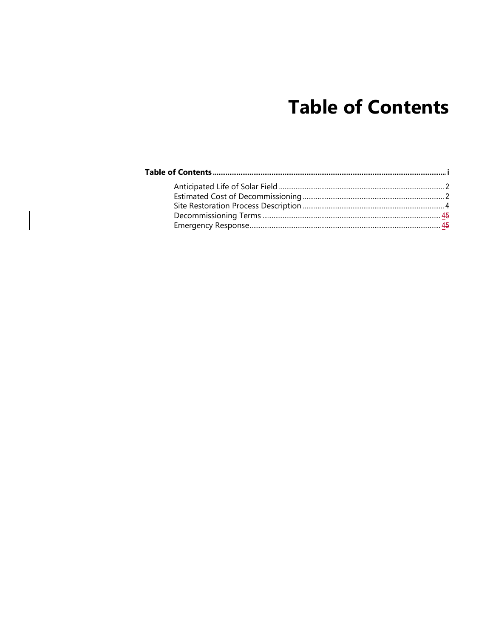# **Table of Contents**

<span id="page-0-0"></span>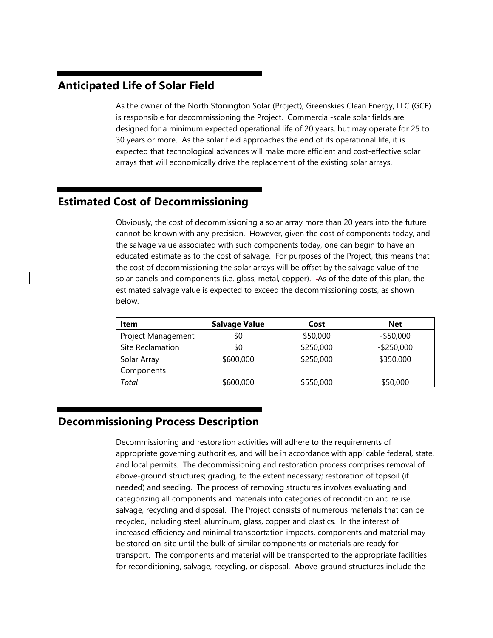# <span id="page-1-0"></span>**Anticipated Life of Solar Field**

As the owner of the North Stonington Solar (Project), Greenskies Clean Energy, LLC (GCE) is responsible for decommissioning the Project. Commercial-scale solar fields are designed for a minimum expected operational life of 20 years, but may operate for 25 to 30 years or more. As the solar field approaches the end of its operational life, it is expected that technological advances will make more efficient and cost-effective solar arrays that will economically drive the replacement of the existing solar arrays.

# <span id="page-1-1"></span>**Estimated Cost of Decommissioning**

Obviously, the cost of decommissioning a solar array more than 20 years into the future cannot be known with any precision. However, given the cost of components today, and the salvage value associated with such components today, one can begin to have an educated estimate as to the cost of salvage. For purposes of the Project, this means that the cost of decommissioning the solar arrays will be offset by the salvage value of the solar panels and components (i.e. glass, metal, copper). -As of the date of this plan, the estimated salvage value is expected to exceed the decommissioning costs, as shown below.

| <u>Item</u>        | <b>Salvage Value</b> | <b>Cost</b> | <u>Net</u>    |
|--------------------|----------------------|-------------|---------------|
| Project Management | \$0                  | \$50,000    | $-$ \$50,000  |
| Site Reclamation   | \$0                  | \$250,000   | $-$ \$250,000 |
| Solar Array        | \$600,000            | \$250,000   | \$350,000     |
| Components         |                      |             |               |
| Total              | \$600,000            | \$550,000   | \$50,000      |

# **Decommissioning Process Description**

Decommissioning and restoration activities will adhere to the requirements of appropriate governing authorities, and will be in accordance with applicable federal, state, and local permits. The decommissioning and restoration process comprises removal of above-ground structures; grading, to the extent necessary; restoration of topsoil (if needed) and seeding. The process of removing structures involves evaluating and categorizing all components and materials into categories of recondition and reuse, salvage, recycling and disposal. The Project consists of numerous materials that can be recycled, including steel, aluminum, glass, copper and plastics. In the interest of increased efficiency and minimal transportation impacts, components and material may be stored on-site until the bulk of similar components or materials are ready for transport. The components and material will be transported to the appropriate facilities for reconditioning, salvage, recycling, or disposal. Above-ground structures include the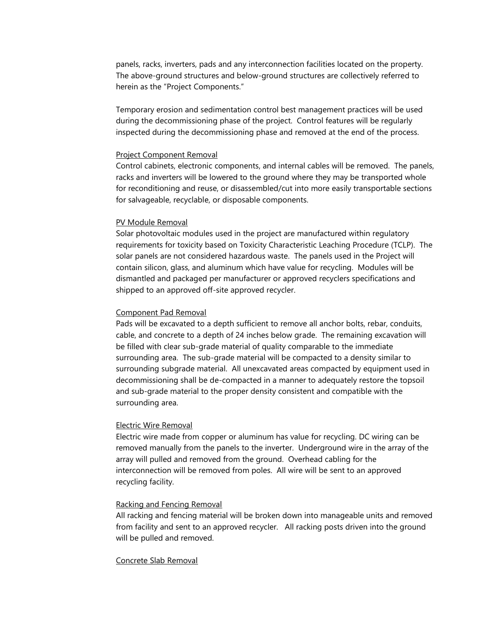panels, racks, inverters, pads and any interconnection facilities located on the property. The above-ground structures and below-ground structures are collectively referred to herein as the "Project Components."

Temporary erosion and sedimentation control best management practices will be used during the decommissioning phase of the project. Control features will be regularly inspected during the decommissioning phase and removed at the end of the process.

## Project Component Removal

Control cabinets, electronic components, and internal cables will be removed. The panels, racks and inverters will be lowered to the ground where they may be transported whole for reconditioning and reuse, or disassembled/cut into more easily transportable sections for salvageable, recyclable, or disposable components.

## PV Module Removal

Solar photovoltaic modules used in the project are manufactured within regulatory requirements for toxicity based on Toxicity Characteristic Leaching Procedure (TCLP). The solar panels are not considered hazardous waste. The panels used in the Project will contain silicon, glass, and aluminum which have value for recycling. Modules will be dismantled and packaged per manufacturer or approved recyclers specifications and shipped to an approved off-site approved recycler.

## Component Pad Removal

Pads will be excavated to a depth sufficient to remove all anchor bolts, rebar, conduits, cable, and concrete to a depth of 24 inches below grade. The remaining excavation will be filled with clear sub-grade material of quality comparable to the immediate surrounding area. The sub-grade material will be compacted to a density similar to surrounding subgrade material. All unexcavated areas compacted by equipment used in decommissioning shall be de-compacted in a manner to adequately restore the topsoil and sub-grade material to the proper density consistent and compatible with the surrounding area.

## Electric Wire Removal

Electric wire made from copper or aluminum has value for recycling. DC wiring can be removed manually from the panels to the inverter. Underground wire in the array of the array will pulled and removed from the ground. Overhead cabling for the interconnection will be removed from poles. All wire will be sent to an approved recycling facility.

## Racking and Fencing Removal

All racking and fencing material will be broken down into manageable units and removed from facility and sent to an approved recycler. All racking posts driven into the ground will be pulled and removed.

## Concrete Slab Removal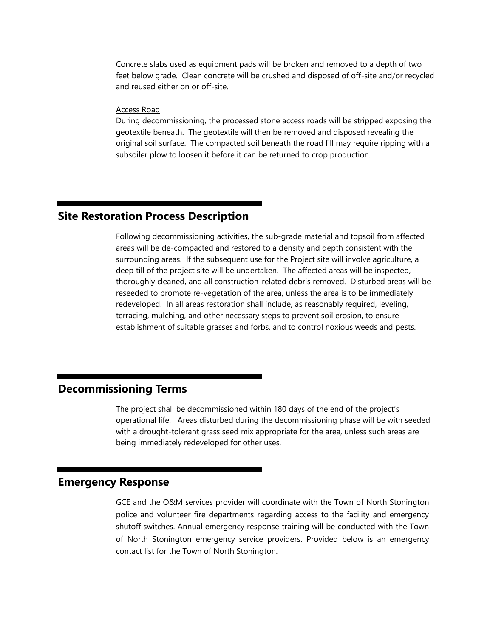Concrete slabs used as equipment pads will be broken and removed to a depth of two feet below grade. Clean concrete will be crushed and disposed of off-site and/or recycled and reused either on or off-site.

## Access Road

During decommissioning, the processed stone access roads will be stripped exposing the geotextile beneath. The geotextile will then be removed and disposed revealing the original soil surface. The compacted soil beneath the road fill may require ripping with a subsoiler plow to loosen it before it can be returned to crop production.

# <span id="page-3-0"></span>**Site Restoration Process Description**

Following decommissioning activities, the sub-grade material and topsoil from affected areas will be de-compacted and restored to a density and depth consistent with the surrounding areas. If the subsequent use for the Project site will involve agriculture, a deep till of the project site will be undertaken. The affected areas will be inspected, thoroughly cleaned, and all construction-related debris removed. Disturbed areas will be reseeded to promote re-vegetation of the area, unless the area is to be immediately redeveloped. In all areas restoration shall include, as reasonably required, leveling, terracing, mulching, and other necessary steps to prevent soil erosion, to ensure establishment of suitable grasses and forbs, and to control noxious weeds and pests.

# <span id="page-3-1"></span>**Decommissioning Terms**

The project shall be decommissioned within 180 days of the end of the project's operational life. Areas disturbed during the decommissioning phase will be with seeded with a drought-tolerant grass seed mix appropriate for the area, unless such areas are being immediately redeveloped for other uses.

# <span id="page-3-2"></span>**Emergency Response**

GCE and the O&M services provider will coordinate with the Town of North Stonington police and volunteer fire departments regarding access to the facility and emergency shutoff switches. Annual emergency response training will be conducted with the Town of North Stonington emergency service providers. Provided below is an emergency contact list for the Town of North Stonington.